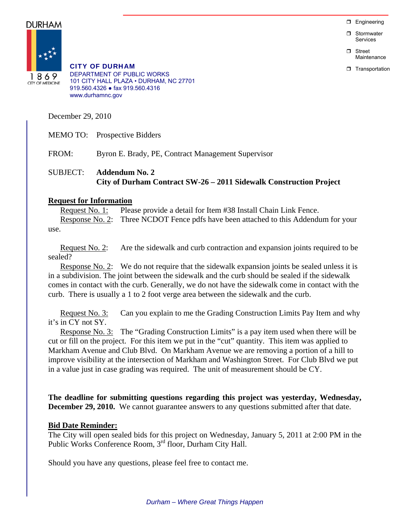$\Box$  Engineering

**D** Stormwater Services

n Street Maintenance

**T** Transportation

DURHAM



CITY OF DURHAM DEPARTMENT OF PUBLIC WORKS 101 CITY HALL PLAZA • DURHAM, NC 27701 919.560.4326 ● fax 919.560.4316 www.durhamnc.gov

December 29, 2010

MEMO TO: Prospective Bidders

FROM: Byron E. Brady, PE, Contract Management Supervisor

### SUBJECT: **Addendum No. 2 City of Durham Contract SW-26 – 2011 Sidewalk Construction Project**

#### **Request for Information**

Request No. 1: Please provide a detail for Item #38 Install Chain Link Fence. Response No. 2: Three NCDOT Fence pdfs have been attached to this Addendum for your use.

Request No. 2: Are the sidewalk and curb contraction and expansion joints required to be sealed?

Response No. 2: We do not require that the sidewalk expansion joints be sealed unless it is in a subdivision. The joint between the sidewalk and the curb should be sealed if the sidewalk comes in contact with the curb. Generally, we do not have the sidewalk come in contact with the curb. There is usually a 1 to 2 foot verge area between the sidewalk and the curb.

Request No. 3: Can you explain to me the Grading Construction Limits Pay Item and why it's in CY not SY.

Response No. 3: The "Grading Construction Limits" is a pay item used when there will be cut or fill on the project. For this item we put in the "cut" quantity. This item was applied to Markham Avenue and Club Blvd. On Markham Avenue we are removing a portion of a hill to improve visibility at the intersection of Markham and Washington Street. For Club Blvd we put in a value just in case grading was required. The unit of measurement should be CY.

**The deadline for submitting questions regarding this project was yesterday, Wednesday, December 29, 2010.** We cannot guarantee answers to any questions submitted after that date.

### **Bid Date Reminder:**

The City will open sealed bids for this project on Wednesday, January 5, 2011 at 2:00 PM in the Public Works Conference Room, 3<sup>rd</sup> floor, Durham City Hall.

Should you have any questions, please feel free to contact me.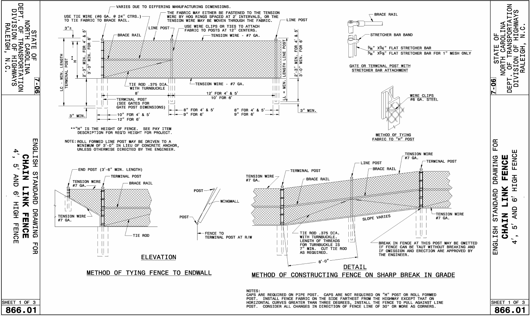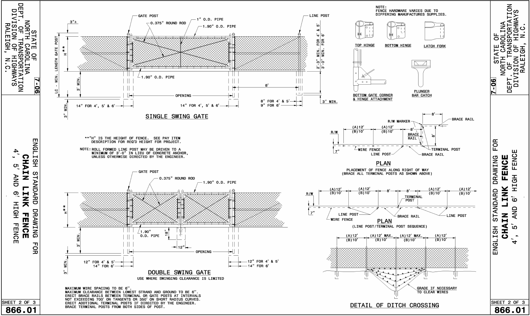